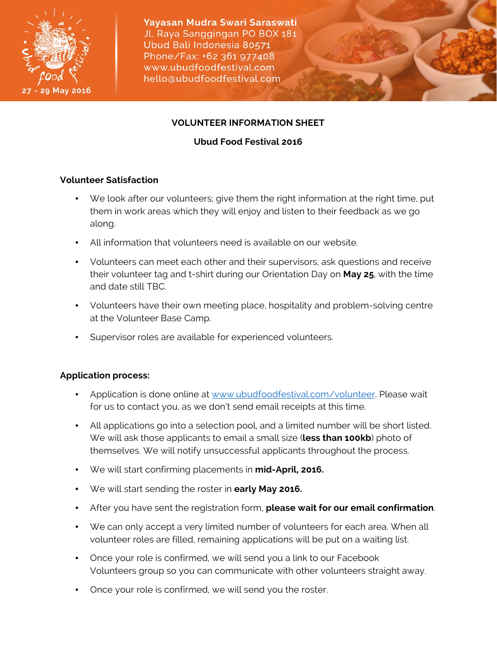



# **VOLUNTEER INFORMATION SHEET**

# **Ubud Food Festival 2016**

## **Volunteer Satisfaction**

- We look after our volunteers; give them the right information at the right time, put them in work areas which they will enjoy and listen to their feedback as we go along.
- All information that volunteers need is available on our website.
- Volunteers can meet each other and their supervisors, ask questions and receive their volunteer tag and t-shirt during our Orientation Day on **May 25**, with the time and date still TBC.
- Volunteers have their own meeting place, hospitality and problem-solving centre at the Volunteer Base Camp.
- Supervisor roles are available for experienced volunteers.

# **Application process:**

- Application is done online at www.ubudfoodfestival.com/volunteer. Please wait for us to contact you, as we don't send email receipts at this time.
- All applications go into a selection pool, and a limited number will be short listed. We will ask those applicants to email a small size (**less than 100kb**) photo of themselves. We will notify unsuccessful applicants throughout the process.
- We will start confirming placements in **mid-April, 2016.**
- We will start sending the roster in **early May 2016.**
- After you have sent the registration form, **please wait for our email confirmation**.
- We can only accept a very limited number of volunteers for each area. When all volunteer roles are filled, remaining applications will be put on a waiting list.
- Once your role is confirmed, we will send you a link to our Facebook Volunteers group so you can communicate with other volunteers straight away.
- Once your role is confirmed, we will send you the roster.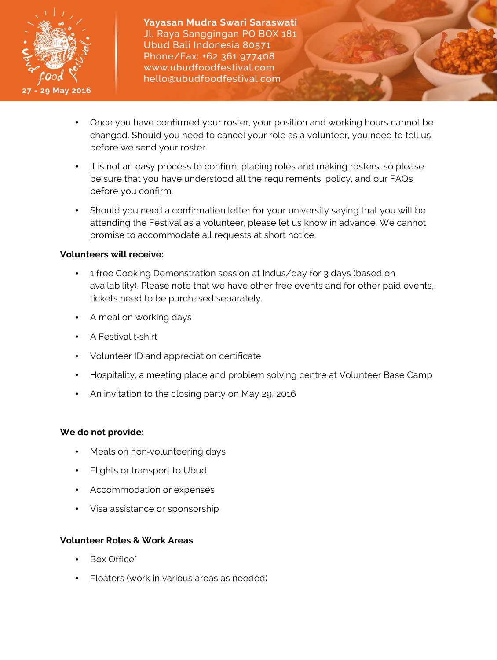

- Once you have confirmed your roster, your position and working hours cannot be changed. Should you need to cancel your role as a volunteer, you need to tell us before we send your roster.
- It is not an easy process to confirm, placing roles and making rosters, so please be sure that you have understood all the requirements, policy, and our FAQs before you confirm.
- Should you need a confirmation letter for your university saying that you will be attending the Festival as a volunteer, please let us know in advance. We cannot promise to accommodate all requests at short notice.

## **Volunteers will receive:**

- 1 free Cooking Demonstration session at Indus/day for 3 days (based on availability). Please note that we have other free events and for other paid events, tickets need to be purchased separately.
- A meal on working days
- A Festival t-shirt
- Volunteer ID and appreciation certificate
- Hospitality, a meeting place and problem solving centre at Volunteer Base Camp
- An invitation to the closing party on May 29, 2016

## **We do not provide:**

- Meals on non-volunteering days
- Flights or transport to Ubud
- Accommodation or expenses
- Visa assistance or sponsorship

## **Volunteer Roles & Work Areas**

- Box Office\*
- Floaters (work in various areas as needed)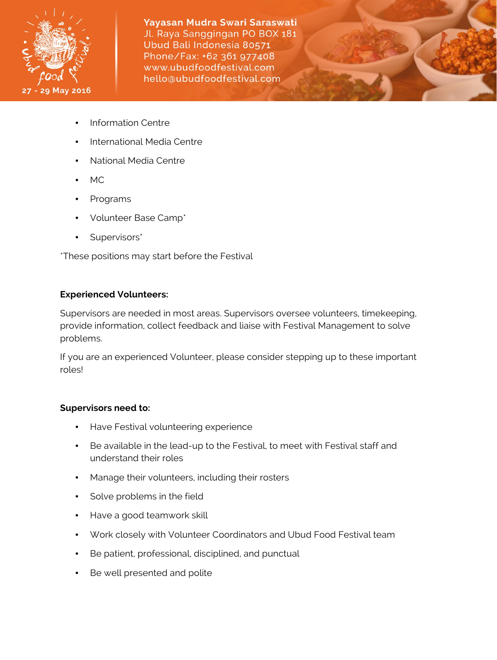

- Information Centre
- International Media Centre
- National Media Centre
- MC
- Programs
- Volunteer Base Camp\*
- Supervisors\*

\*These positions may start before the Festival

# **Experienced Volunteers:**

Supervisors are needed in most areas. Supervisors oversee volunteers, timekeeping, provide information, collect feedback and liaise with Festival Management to solve problems.

If you are an experienced Volunteer, please consider stepping up to these important roles!

# **Supervisors need to:**

- Have Festival volunteering experience
- Be available in the lead-up to the Festival, to meet with Festival staff and understand their roles
- Manage their volunteers, including their rosters
- Solve problems in the field
- Have a good teamwork skill
- Work closely with Volunteer Coordinators and Ubud Food Festival team
- Be patient, professional, disciplined, and punctual
- Be well presented and polite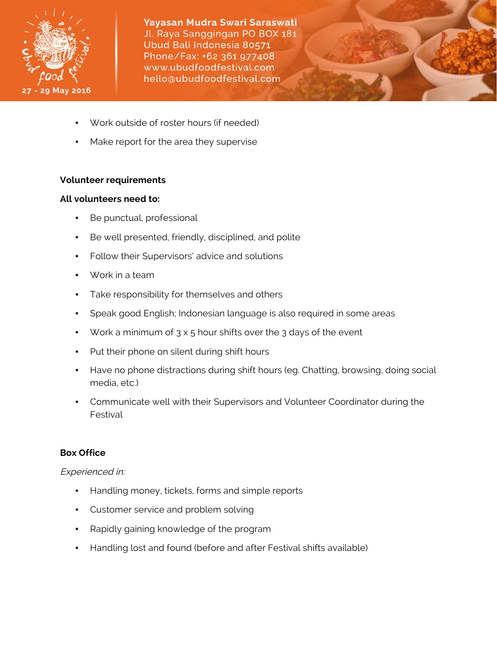

- Work outside of roster hours (if needed)
- Make report for the area they supervise

### **Volunteer requirements**

### **All volunteers need to:**

- Be punctual, professional
- Be well presented, friendly, disciplined, and polite
- Follow their Supervisors' advice and solutions
- Work in a team
- Take responsibility for themselves and others
- Speak good English; Indonesian language is also required in some areas
- Work a minimum of  $3 \times 5$  hour shifts over the 3 days of the event
- Put their phone on silent during shift hours
- Have no phone distractions during shift hours (eg. Chatting, browsing, doing social media, etc.)
- Communicate well with their Supervisors and Volunteer Coordinator during the Festival

# **Box Office**

## Experienced in:

- Handling money, tickets, forms and simple reports
- Customer service and problem solving
- Rapidly gaining knowledge of the program
- Handling lost and found (before and after Festival shifts available)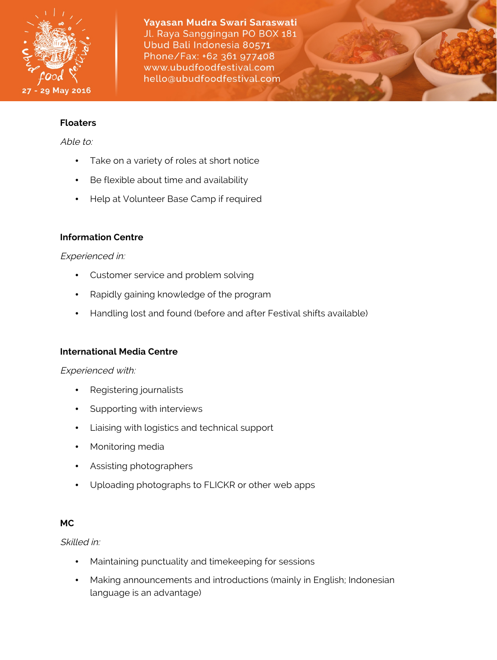

### **Floaters**

Able to:

- Take on a variety of roles at short notice
- Be flexible about time and availability
- Help at Volunteer Base Camp if required

## **Information Centre**

### Experienced in:

- Customer service and problem solving
- Rapidly gaining knowledge of the program
- Handling lost and found (before and after Festival shifts available)

## **International Media Centre**

Experienced with:

- Registering journalists
- Supporting with interviews
- Liaising with logistics and technical support
- Monitoring media
- Assisting photographers
- Uploading photographs to FLICKR or other web apps

## **MC**

### Skilled in:

- Maintaining punctuality and timekeeping for sessions
- Making announcements and introductions (mainly in English; Indonesian language is an advantage)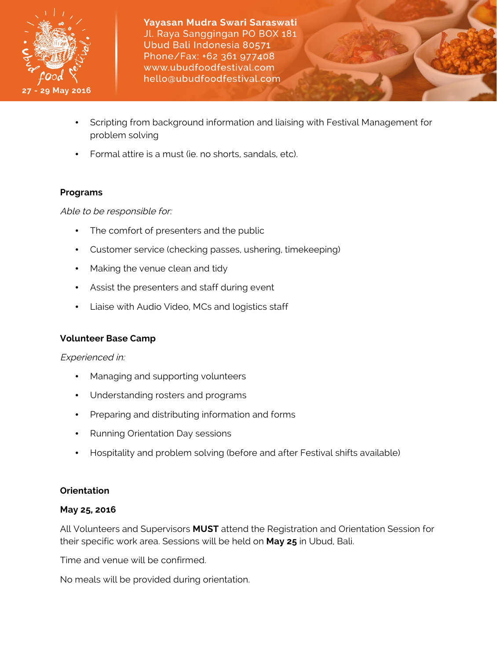

- Scripting from background information and liaising with Festival Management for problem solving
- Formal attire is a must (ie. no shorts, sandals, etc).

# **Programs**

Able to be responsible for:

- The comfort of presenters and the public
- Customer service (checking passes, ushering, timekeeping)
- Making the venue clean and tidy
- Assist the presenters and staff during event
- Liaise with Audio Video, MCs and logistics staff

# **Volunteer Base Camp**

Experienced in:

- Managing and supporting volunteers
- Understanding rosters and programs
- Preparing and distributing information and forms
- Running Orientation Day sessions
- Hospitality and problem solving (before and after Festival shifts available)

# **Orientation**

## **May 25, 2016**

All Volunteers and Supervisors **MUST** attend the Registration and Orientation Session for their specific work area. Sessions will be held on **May 25** in Ubud, Bali.

Time and venue will be confirmed.

No meals will be provided during orientation.